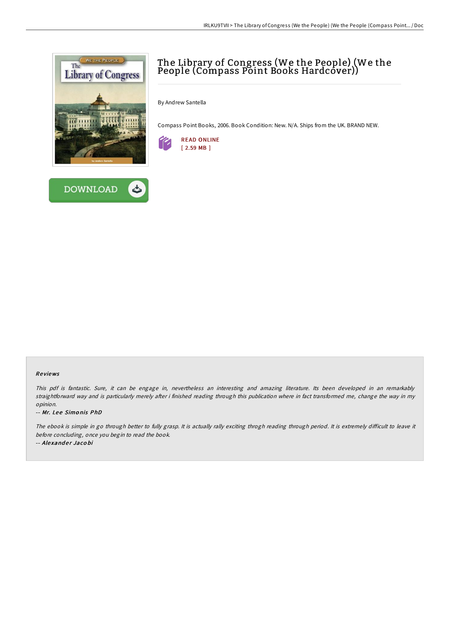



# The Library of Congress (We the People) (We the People (Compass Point Books Hardcover))

By Andrew Santella

Compass Point Books, 2006. Book Condition: New. N/A. Ships from the UK. BRAND NEW.



## Re views

This pdf is fantastic. Sure, it can be engage in, nevertheless an interesting and amazing literature. Its been developed in an remarkably straightforward way and is particularly merely after i finished reading through this publication where in fact transformed me, change the way in my opinion.

-- Mr. Lee Simonis PhD

The ebook is simple in go through better to fully grasp. It is actually rally exciting throgh reading through period. It is extremely difficult to leave it before concluding, once you begin to read the book.

-- Alexander Jacobi